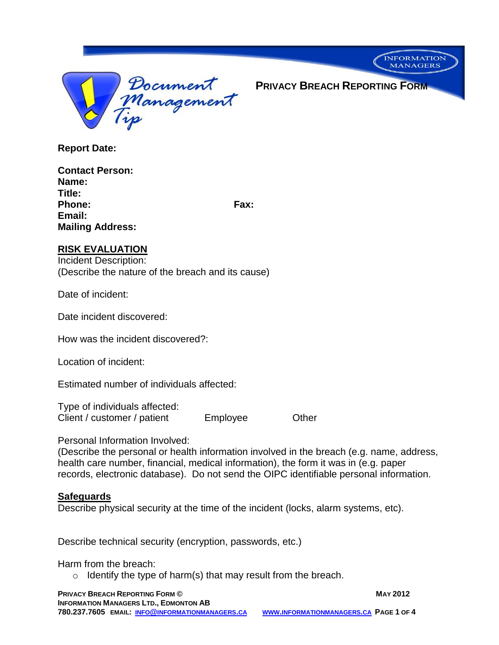

**PRIVACY BREACH REPORTING FORM**

**INFORMATION MANAGERS** 

**Report Date:**

| <b>Contact Person:</b>  |      |
|-------------------------|------|
| Name:                   |      |
| Title:                  |      |
| <b>Phone:</b>           | Fax: |
| Email:                  |      |
| <b>Mailing Address:</b> |      |

### **RISK EVALUATION**

Incident Description: (Describe the nature of the breach and its cause)

Date of incident:

Date incident discovered:

How was the incident discovered?:

Location of incident:

Estimated number of individuals affected:

Type of individuals affected: Client / customer / patient Employee Client / customer / patient

Personal Information Involved:

(Describe the personal or health information involved in the breach (e.g. name, address, health care number, financial, medical information), the form it was in (e.g. paper records, electronic database). Do not send the OIPC identifiable personal information.

# **Safeguards**

Describe physical security at the time of the incident (locks, alarm systems, etc).

Describe technical security (encryption, passwords, etc.)

Harm from the breach:

 $\circ$  Identify the type of harm(s) that may result from the breach.

**PRIVACY BREACH REPORTING FORM © MAY 2012 INFORMATION MANAGERS LTD., EDMONTON AB 780.237.7605 EMAIL: INFO@INFORMATIONMANAGERS.CA WWW.INFORMATIONMANAGERS.CA PAGE 1 OF 4**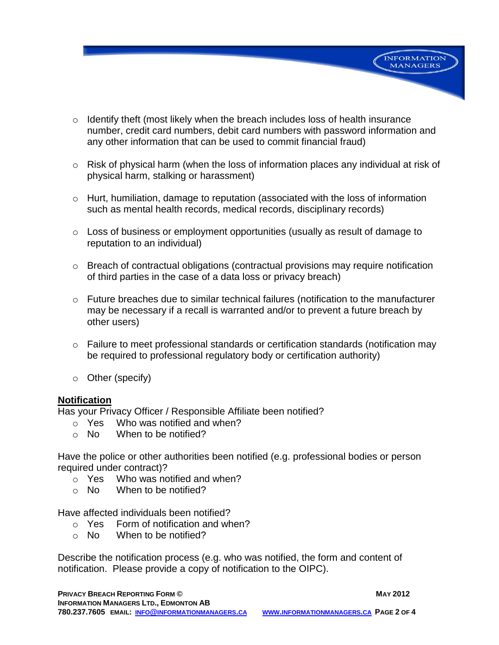$\circ$  Identify theft (most likely when the breach includes loss of health insurance number, credit card numbers, debit card numbers with password information and any other information that can be used to commit financial fraud)

**INFORMATION MANAGERS** 

- o Risk of physical harm (when the loss of information places any individual at risk of physical harm, stalking or harassment)
- o Hurt, humiliation, damage to reputation (associated with the loss of information such as mental health records, medical records, disciplinary records)
- $\circ$  Loss of business or employment opportunities (usually as result of damage to reputation to an individual)
- $\circ$  Breach of contractual obligations (contractual provisions may require notification of third parties in the case of a data loss or privacy breach)
- $\circ$  Future breaches due to similar technical failures (notification to the manufacturer may be necessary if a recall is warranted and/or to prevent a future breach by other users)
- o Failure to meet professional standards or certification standards (notification may be required to professional regulatory body or certification authority)
- o Other (specify)

### **Notification**

Has your Privacy Officer / Responsible Affiliate been notified?

- o Yes Who was notified and when?
- $\circ$  No When to be notified?

Have the police or other authorities been notified (e.g. professional bodies or person required under contract)?

- o Yes Who was notified and when?
- $\circ$  No When to be notified?

Have affected individuals been notified?

- o Yes Form of notification and when?
- o No When to be notified?

Describe the notification process (e.g. who was notified, the form and content of notification. Please provide a copy of notification to the OIPC).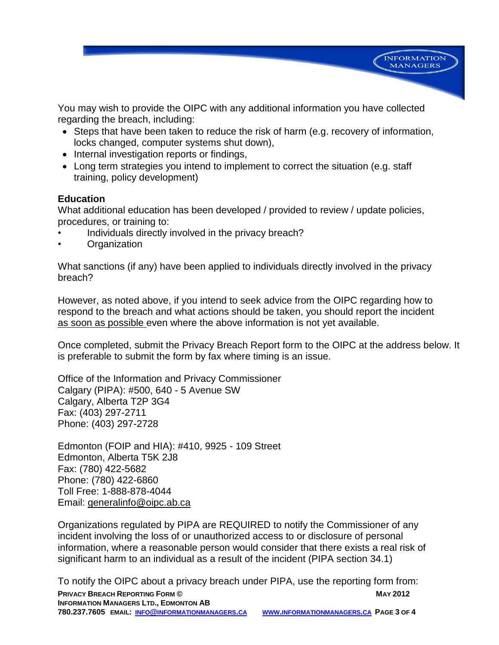

You may wish to provide the OIPC with any additional information you have collected regarding the breach, including:

- Steps that have been taken to reduce the risk of harm (e.g. recovery of information, locks changed, computer systems shut down),
- Internal investigation reports or findings,
- Long term strategies you intend to implement to correct the situation (e.g. staff training, policy development)

# **Education**

What additional education has been developed / provided to review / update policies, procedures, or training to:

- Individuals directly involved in the privacy breach?
- **Organization**

What sanctions (if any) have been applied to individuals directly involved in the privacy breach?

However, as noted above, if you intend to seek advice from the OIPC regarding how to respond to the breach and what actions should be taken, you should report the incident as soon as possible even where the above information is not yet available.

Once completed, submit the Privacy Breach Report form to the OIPC at the address below. It is preferable to submit the form by fax where timing is an issue.

Office of the Information and Privacy Commissioner Calgary (PIPA): #500, 640 - 5 Avenue SW Calgary, Alberta T2P 3G4 Fax: (403) 297-2711 Phone: (403) 297-2728

Edmonton (FOIP and HIA): #410, 9925 - 109 Street Edmonton, Alberta T5K 2J8 Fax: (780) 422-5682 Phone: (780) 422-6860 Toll Free: 1-888-878-4044 Email: generalinfo@oipc.ab.ca

Organizations regulated by PIPA are REQUIRED to notify the Commissioner of any incident involving the loss of or unauthorized access to or disclosure of personal information, where a reasonable person would consider that there exists a real risk of significant harm to an individual as a result of the incident (PIPA section 34.1)

**PRIVACY BREACH REPORTING FORM © MAY 2012 INFORMATION MANAGERS LTD., EDMONTON AB 780.237.7605 EMAIL: INFO@INFORMATIONMANAGERS.CA WWW.INFORMATIONMANAGERS.CA PAGE 3 OF 4** To notify the OIPC about a privacy breach under PIPA, use the reporting form from: